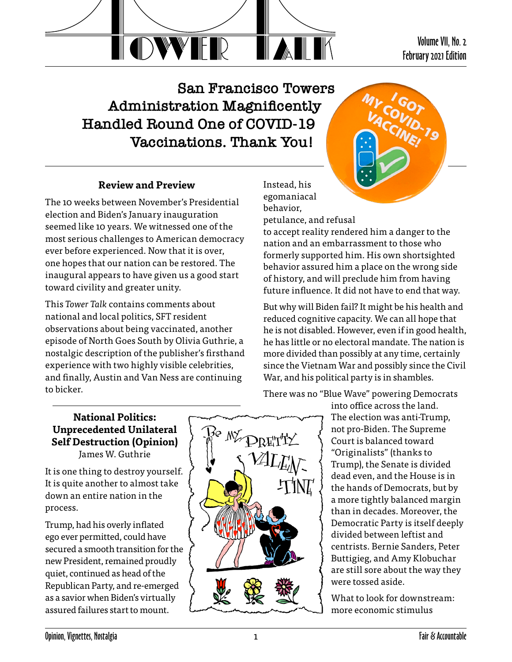

**San Francisco Towers Administration Magnificently Handled Round One of COVID-19 Vaccinations. Thank You!**



Volume VII, No. 2 February 2021 Edition

# **Review and Preview**

The 10 weeks between November's Presidential election and Biden's January inauguration seemed like 10 years. We witnessed one of the most serious challenges to American democracy ever before experienced. Now that it is over, one hopes that our nation can be restored. The inaugural appears to have given us a good start toward civility and greater unity.

This *Tower Talk* contains comments about national and local politics, SFT resident observations about being vaccinated, another episode of North Goes South by Olivia Guthrie, a nostalgic description of the publisher's firsthand experience with two highly visible celebrities, and finally, Austin and Van Ness are continuing to bicker.

Instead, his egomaniacal behavior,

petulance, and refusal

to accept reality rendered him a danger to the nation and an embarrassment to those who formerly supported him. His own shortsighted behavior assured him a place on the wrong side of history, and will preclude him from having future influence. It did not have to end that way.

But why will Biden fail? It might be his health and reduced cognitive capacity. We can all hope that he is not disabled. However, even if in good health, he has little or no electoral mandate. The nation is more divided than possibly at any time, certainly since the Vietnam War and possibly since the Civil War, and his political party is in shambles.

There was no "Blue Wave" powering Democrats

#### **National Politics: Unprecedented Unilateral Self Destruction (Opinion)** James W. Guthrie

It is one thing to destroy yourself. It is quite another to almost take down an entire nation in the process.

Trump, had his overly inflated ego ever permitted, could have secured a smooth transition for the new President, remained proudly quiet, continued as head of the Republican Party, and re-emerged as a savior when Biden's virtually assured failures start to mount.



into office across the land. The election was anti-Trump, not pro-Biden. The Supreme Court is balanced toward "Originalists" (thanks to Trump), the Senate is divided dead even, and the House is in the hands of Democrats, but by a more tightly balanced margin than in decades. Moreover, the Democratic Party is itself deeply divided between leftist and centrists. Bernie Sanders, Peter Buttigieg, and Amy Klobuchar are still sore about the way they were tossed aside.

What to look for downstream: more economic stimulus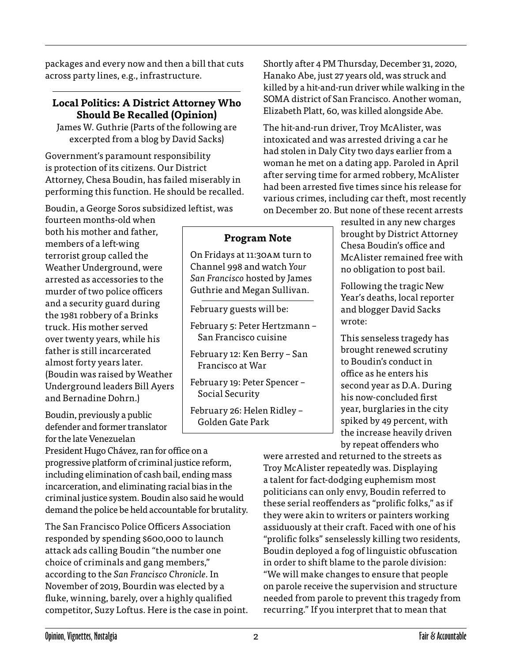packages and every now and then a bill that cuts across party lines, e.g., infrastructure.

#### **Local Politics: A District Attorney Who Should Be Recalled (Opinion)**

James W. Guthrie (Parts of the following are excerpted from a blog by David Sacks)

Government's paramount responsibility is protection of its citizens. Our District Attorney, Chesa Boudin, has failed miserably in performing this function. He should be recalled.

Boudin, a George Soros subsidized leftist, was

fourteen months-old when both his mother and father, members of a left-wing terrorist group called the Weather Underground, were arrested as accessories to the murder of two police officers and a security guard during the 1981 robbery of a Brinks truck. His mother served over twenty years, while his father is still incarcerated almost forty years later. (Boudin was raised by Weather Underground leaders Bill Ayers and Bernadine Dohrn.)

Boudin, previously a public defender and former translator for the late Venezuelan

President Hugo Chávez, ran for office on a progressive platform of criminal justice reform, including elimination of cash bail, ending mass incarceration, and eliminating racial bias in the criminal justice system. Boudin also said he would demand the police be held accountable for brutality.

The San Francisco Police Officers Association responded by spending \$600,000 to launch attack ads calling Boudin "the number one choice of criminals and gang members," according to the *San Francisco Chronicle*. In November of 2019, Bourdin was elected by a fluke, winning, barely, over a highly qualified competitor, Suzy Loftus. Here is the case in point. Shortly after 4 PM Thursday, December 31, 2020, Hanako Abe, just 27 years old, was struck and killed by a hit-and-run driver while walking in the SOMA district of San Francisco. Another woman, Elizabeth Platt, 60, was killed alongside Abe.

The hit-and-run driver, Troy McAlister, was intoxicated and was arrested driving a car he had stolen in Daly City two days earlier from a woman he met on a dating app. Paroled in April after serving time for armed robbery, McAlister had been arrested five times since his release for various crimes, including car theft, most recently on December 20. But none of these recent arrests

resulted in any new charges brought by District Attorney Chesa Boudin's office and McAlister remained free with no obligation to post bail.

Following the tragic New Year's deaths, local reporter and blogger David Sacks wrote:

This senseless tragedy has brought renewed scrutiny to Boudin's conduct in office as he enters his second year as D.A. During his now-concluded first year, burglaries in the city spiked by 49 percent, with the increase heavily driven by repeat offenders who

were arrested and returned to the streets as Troy McAlister repeatedly was. Displaying a talent for fact-dodging euphemism most politicians can only envy, Boudin referred to these serial reoffenders as "prolific folks," as if they were akin to writers or painters working assiduously at their craft. Faced with one of his "prolific folks" senselessly killing two residents, Boudin deployed a fog of linguistic obfuscation in order to shift blame to the parole division: "We will make changes to ensure that people on parole receive the supervision and structure needed from parole to prevent this tragedy from recurring." If you interpret that to mean that

**Program Note**

On Fridays at 11:30am turn to Channel 998 and watch *Your San Francisco* hosted by James Guthrie and Megan Sullivan.

February 5: Peter Hertzmann – San Francisco cuisine

February 12: Ken Berry – San

February 19: Peter Spencer –

February 26: Helen Ridley – Golden Gate Park

February guests will be:

Francisco at War

Social Security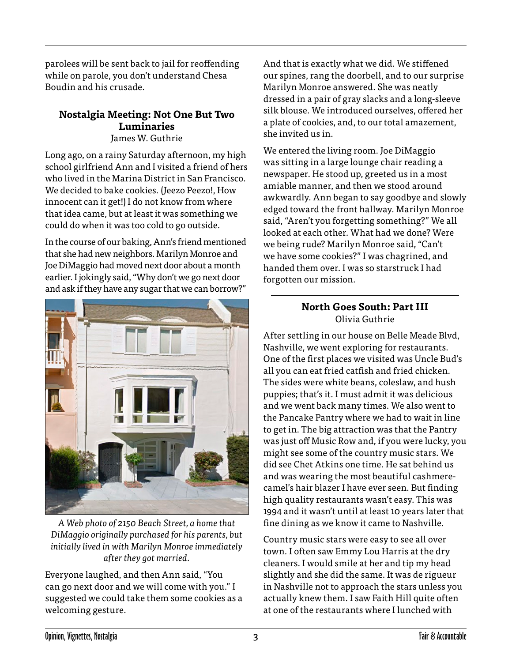parolees will be sent back to jail for reoffending while on parole, you don't understand Chesa Boudin and his crusade.

# **Nostalgia Meeting: Not One But Two Luminaries**

James W. Guthrie

Long ago, on a rainy Saturday afternoon, my high school girlfriend Ann and I visited a friend of hers who lived in the Marina District in San Francisco. We decided to bake cookies. (Jeezo Peezo!, How innocent can it get!) I do not know from where that idea came, but at least it was something we could do when it was too cold to go outside.

In the course of our baking, Ann's friend mentioned that she had new neighbors. Marilyn Monroe and Joe DiMaggio had moved next door about a month earlier. I jokingly said, "Why don't we go next door and ask if they have any sugar that we can borrow?"



*A Web photo of 2150 Beach Street, a home that DiMaggio originally purchased for his parents, but initially lived in with Marilyn Monroe immediately after they got married.*

Everyone laughed, and then Ann said, "You can go next door and we will come with you." I suggested we could take them some cookies as a welcoming gesture.

And that is exactly what we did. We stiffened our spines, rang the doorbell, and to our surprise Marilyn Monroe answered. She was neatly dressed in a pair of gray slacks and a long-sleeve silk blouse. We introduced ourselves, offered her a plate of cookies, and, to our total amazement, she invited us in.

We entered the living room. Joe DiMaggio was sitting in a large lounge chair reading a newspaper. He stood up, greeted us in a most amiable manner, and then we stood around awkwardly. Ann began to say goodbye and slowly edged toward the front hallway. Marilyn Monroe said, "Aren't you forgetting something?" We all looked at each other. What had we done? Were we being rude? Marilyn Monroe said, "Can't we have some cookies?" I was chagrined, and handed them over. I was so starstruck I had forgotten our mission.

# **North Goes South: Part III** Olivia Guthrie

After settling in our house on Belle Meade Blvd, Nashville, we went exploring for restaurants. One of the first places we visited was Uncle Bud's all you can eat fried catfish and fried chicken. The sides were white beans, coleslaw, and hush puppies; that's it. I must admit it was delicious and we went back many times. We also went to the Pancake Pantry where we had to wait in line to get in. The big attraction was that the Pantry was just off Music Row and, if you were lucky, you might see some of the country music stars. We did see Chet Atkins one time. He sat behind us and was wearing the most beautiful cashmerecamel's hair blazer I have ever seen. But finding high quality restaurants wasn't easy. This was 1994 and it wasn't until at least 10 years later that fine dining as we know it came to Nashville.

Country music stars were easy to see all over town. I often saw Emmy Lou Harris at the dry cleaners. I would smile at her and tip my head slightly and she did the same. It was de rigueur in Nashville not to approach the stars unless you actually knew them. I saw Faith Hill quite often at one of the restaurants where I lunched with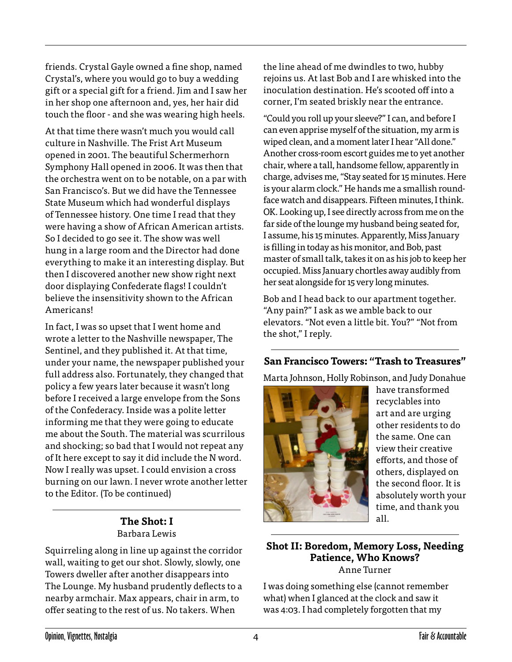friends. Crystal Gayle owned a fine shop, named Crystal's, where you would go to buy a wedding gift or a special gift for a friend. Jim and I saw her in her shop one afternoon and, yes, her hair did touch the floor - and she was wearing high heels.

At that time there wasn't much you would call culture in Nashville. The Frist Art Museum opened in 2001. The beautiful Schermerhorn Symphony Hall opened in 2006. It was then that the orchestra went on to be notable, on a par with San Francisco's. But we did have the Tennessee State Museum which had wonderful displays of Tennessee history. One time I read that they were having a show of African American artists. So I decided to go see it. The show was well hung in a large room and the Director had done everything to make it an interesting display. But then I discovered another new show right next door displaying Confederate flags! I couldn't believe the insensitivity shown to the African Americans!

In fact, I was so upset that I went home and wrote a letter to the Nashville newspaper, The Sentinel, and they published it. At that time, under your name, the newspaper published your full address also. Fortunately, they changed that policy a few years later because it wasn't long before I received a large envelope from the Sons of the Confederacy. Inside was a polite letter informing me that they were going to educate me about the South. The material was scurrilous and shocking; so bad that I would not repeat any of It here except to say it did include the N word. Now I really was upset. I could envision a cross burning on our lawn. I never wrote another letter to the Editor. (To be continued)

#### **The Shot: I** Barbara Lewis

Squirreling along in line up against the corridor wall, waiting to get our shot. Slowly, slowly, one Towers dweller after another disappears into The Lounge. My husband prudently deflects to a nearby armchair. Max appears, chair in arm, to offer seating to the rest of us. No takers. When

the line ahead of me dwindles to two, hubby rejoins us. At last Bob and I are whisked into the inoculation destination. He's scooted off into a corner, I'm seated briskly near the entrance.

"Could you roll up your sleeve?" I can, and before I can even apprise myself of the situation, my arm is wiped clean, and a moment later I hear "All done." Another cross-room escort guides me to yet another chair, where a tall, handsome fellow, apparently in charge, advises me, "Stay seated for 15 minutes. Here is your alarm clock." He hands me a smallish roundface watch and disappears. Fifteen minutes, I think. OK. Looking up, I see directly across from me on the far side of the lounge my husband being seated for, I assume, his 15 minutes. Apparently, Miss January is filling in today as his monitor, and Bob, past master of small talk, takes it on as his job to keep her occupied. Miss January chortles away audibly from her seat alongside for 15 very long minutes.

Bob and I head back to our apartment together. "Any pain?" I ask as we amble back to our elevators. "Not even a little bit. You?" "Not from the shot," I reply.

### **San Francisco Towers: "Trash to Treasures"**

Marta Johnson, Holly Robinson, and Judy Donahue



have transformed recyclables into art and are urging other residents to do the same. One can view their creative efforts, and those of others, displayed on the second floor. It is absolutely worth your time, and thank you all.

#### **Shot II: Boredom, Memory Loss, Needing Patience, Who Knows?** Anne Turner

I was doing something else (cannot remember what) when I glanced at the clock and saw it was 4:03. I had completely forgotten that my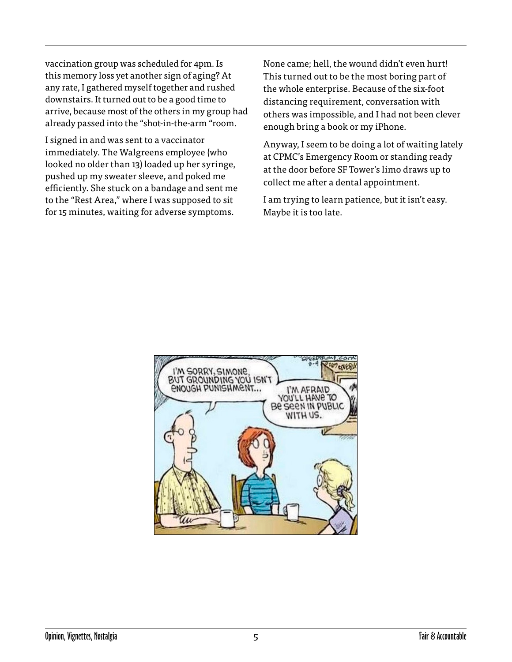vaccination group was scheduled for 4pm. Is this memory loss yet another sign of aging? At any rate, I gathered myself together and rushed downstairs. It turned out to be a good time to arrive, because most of the others in my group had already passed into the "shot-in-the-arm "room.

I signed in and was sent to a vaccinator immediately. The Walgreens employee (who looked no older than 13) loaded up her syringe, pushed up my sweater sleeve, and poked me efficiently. She stuck on a bandage and sent me to the "Rest Area," where I was supposed to sit for 15 minutes, waiting for adverse symptoms.

None came; hell, the wound didn't even hurt! This turned out to be the most boring part of the whole enterprise. Because of the six-foot distancing requirement, conversation with others was impossible, and I had not been clever enough bring a book or my iPhone.

Anyway, I seem to be doing a lot of waiting lately at CPMC's Emergency Room or standing ready at the door before SF Tower's limo draws up to collect me after a dental appointment.

I am trying to learn patience, but it isn't easy. Maybe it is too late.